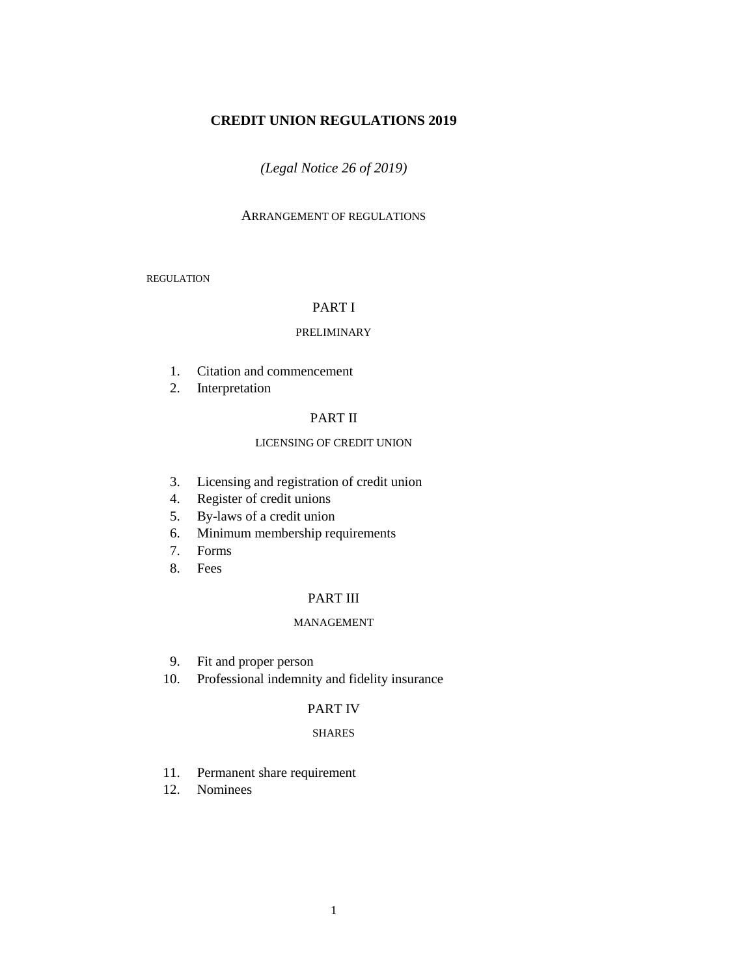# **CREDIT UNION REGULATIONS 2019**

## *(Legal Notice 26 of 2019)*

### ARRANGEMENT OF REGULATIONS

# REGULATION

# PART I

#### PRELIMINARY

- 1. Citation and commencement
- 2. Interpretation

## PART II

## LICENSING OF CREDIT UNION

- 3. Licensing and registration of credit union
- 4. Register of credit unions
- 5. By-laws of a credit union
- 6. Minimum membership requirements
- 7. Forms
- 8. Fees

# PART III

#### MANAGEMENT

- 9. Fit and proper person
- 10. Professional indemnity and fidelity insurance

## PART IV

#### SHARES

- 11. Permanent share requirement
- 12. Nominees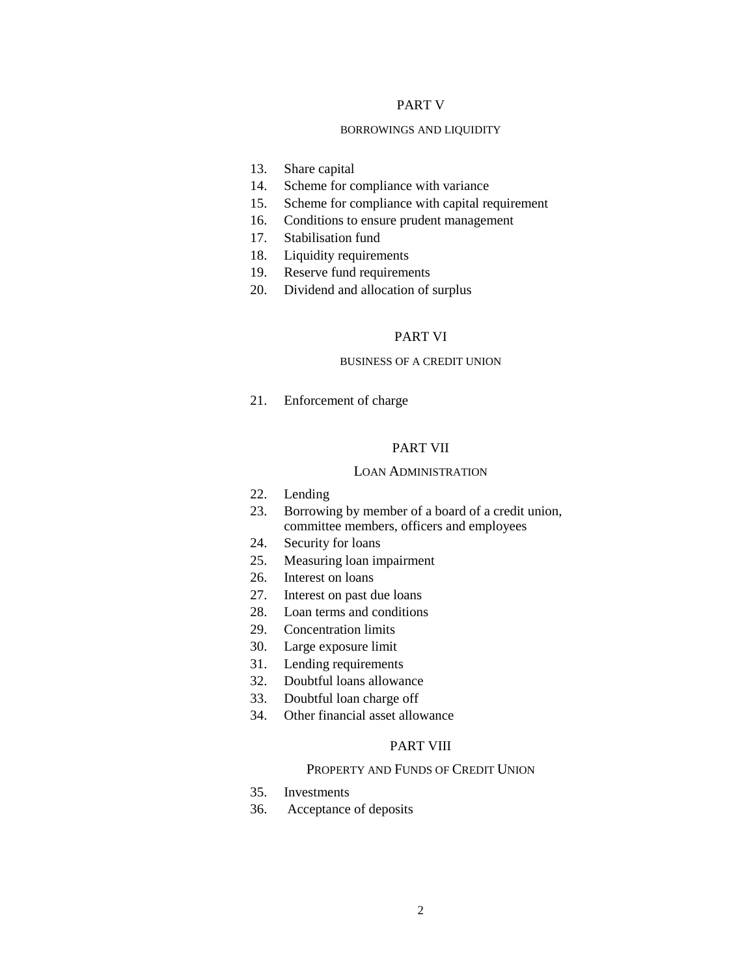## PART V

#### BORROWINGS AND LIQUIDITY

- 13. Share capital
- 14. Scheme for compliance with variance
- 15. Scheme for compliance with capital requirement
- 16. Conditions to ensure prudent management
- 17. Stabilisation fund
- 18. Liquidity requirements
- 19. Reserve fund requirements
- 20. Dividend and allocation of surplus

#### PART VI

### BUSINESS OF A CREDIT UNION

21. Enforcement of charge

# PART VII

#### LOAN ADMINISTRATION

- 22. Lending
- 23. Borrowing by member of a board of a credit union, committee members, officers and employees
- 24. Security for loans
- 25. Measuring loan impairment
- 26. Interest on loans
- 27. Interest on past due loans
- 28. Loan terms and conditions
- 29. Concentration limits
- 30. Large exposure limit
- 31. Lending requirements
- 32. Doubtful loans allowance
- 33. Doubtful loan charge off
- 34. Other financial asset allowance

## PART VIII

## PROPERTY AND FUNDS OF CREDIT UNION

- 35. Investments
- 36. Acceptance of deposits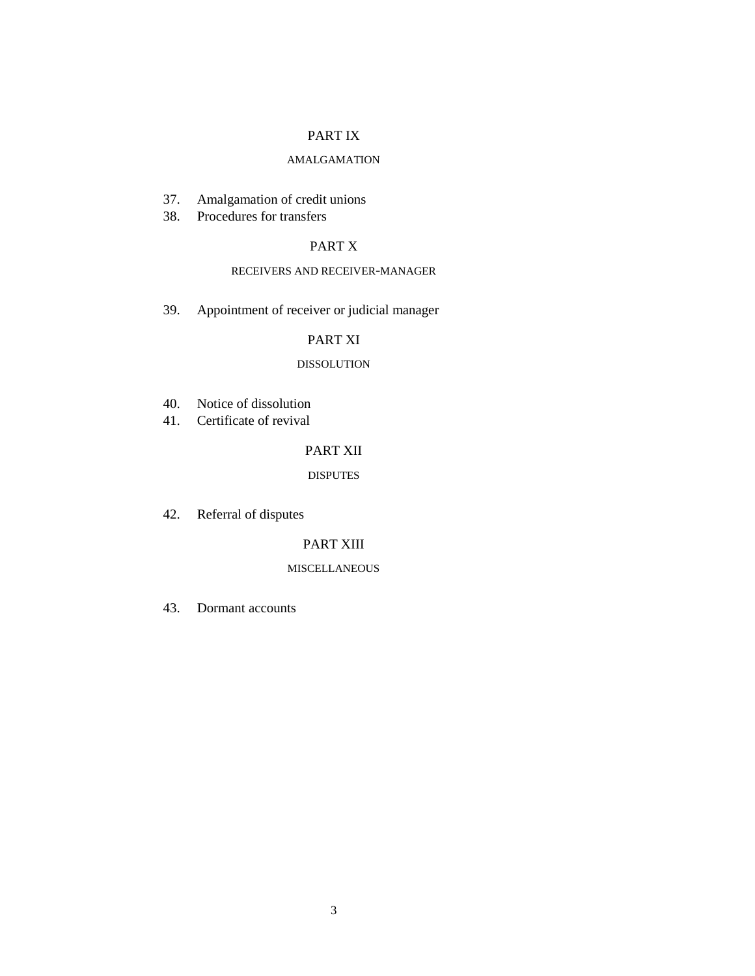# PART IX

## AMALGAMATION

- 37. Amalgamation of credit unions
- 38. Procedures for transfers

# PART X

## RECEIVERS AND RECEIVER-MANAGER

39. Appointment of receiver or judicial manager

# PART XI

## DISSOLUTION

- 40. Notice of dissolution
- 41. Certificate of revival

# PART XII

## DISPUTES

42. Referral of disputes

## PART XIII

## MISCELLANEOUS

43. Dormant accounts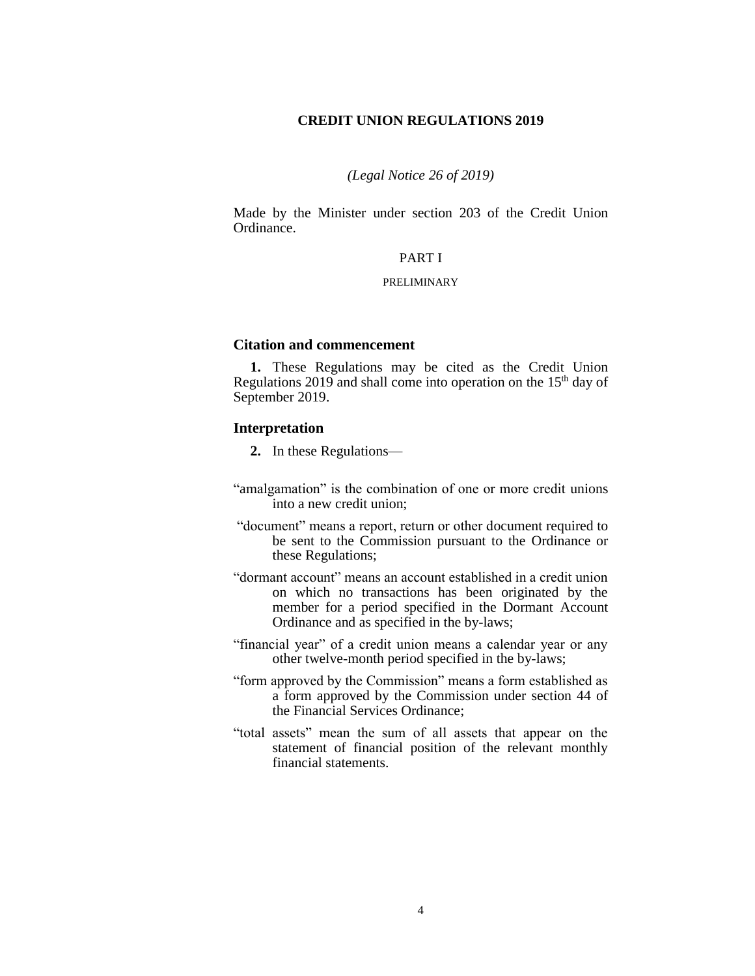## **CREDIT UNION REGULATIONS 2019**

## *(Legal Notice 26 of 2019)*

Made by the Minister under section 203 of the Credit Union Ordinance.

## PART I

#### PRELIMINARY

## **Citation and commencement**

**1.** These Regulations may be cited as the Credit Union Regulations 2019 and shall come into operation on the  $15<sup>th</sup>$  day of September 2019.

### **Interpretation**

- **2.** In these Regulations—
- "amalgamation" is the combination of one or more credit unions into a new credit union;
- "document" means a report, return or other document required to be sent to the Commission pursuant to the Ordinance or these Regulations;
- "dormant account" means an account established in a credit union on which no transactions has been originated by the member for a period specified in the Dormant Account Ordinance and as specified in the by-laws;
- "financial year" of a credit union means a calendar year or any other twelve-month period specified in the by-laws;
- "form approved by the Commission" means a form established as a form approved by the Commission under section 44 of the Financial Services Ordinance;
- "total assets" mean the sum of all assets that appear on the statement of financial position of the relevant monthly financial statements.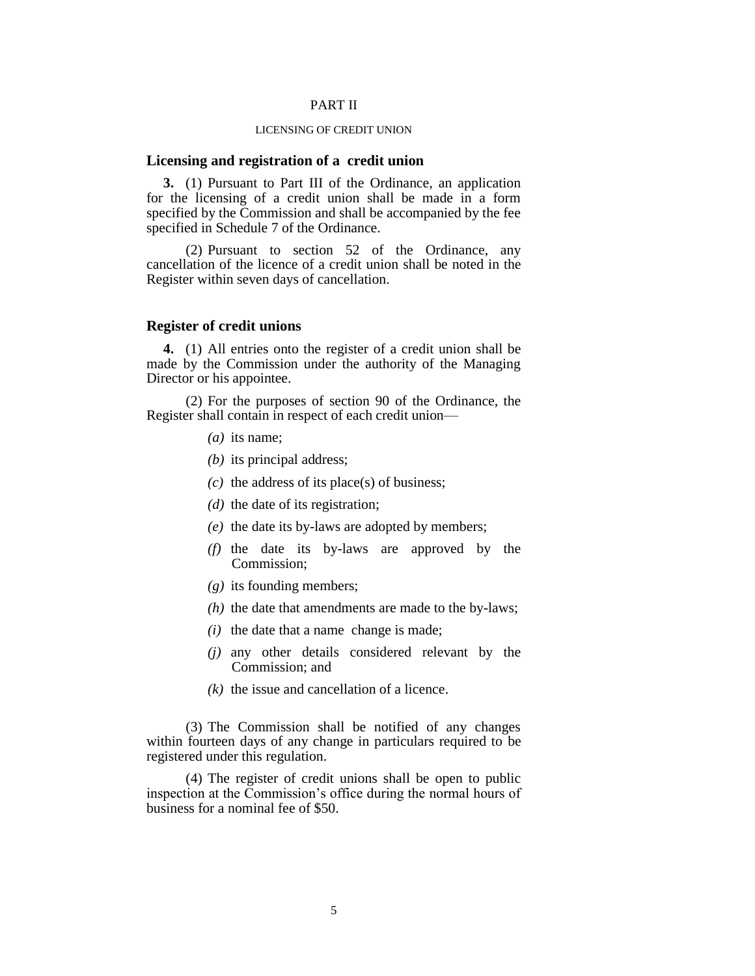### PART II

## LICENSING OF CREDIT UNION

#### **Licensing and registration of a credit union**

**3.** (1) Pursuant to Part III of the Ordinance, an application for the licensing of a credit union shall be made in a form specified by the Commission and shall be accompanied by the fee specified in Schedule 7 of the Ordinance.

(2) Pursuant to section 52 of the Ordinance, any cancellation of the licence of a credit union shall be noted in the Register within seven days of cancellation.

### **Register of credit unions**

**4.** (1) All entries onto the register of a credit union shall be made by the Commission under the authority of the Managing Director or his appointee.

(2) For the purposes of section 90 of the Ordinance, the Register shall contain in respect of each credit union—

- *(a)* its name;
- *(b)* its principal address;
- *(c)* the address of its place(s) of business;
- *(d)* the date of its registration;
- *(e)* the date its by-laws are adopted by members;
- *(f)* the date its by-laws are approved by the Commission;
- *(g)* its founding members;
- *(h)* the date that amendments are made to the by-laws;
- *(i)* the date that a name change is made;
- *(j)* any other details considered relevant by the Commission; and
- *(k)* the issue and cancellation of a licence.

(3) The Commission shall be notified of any changes within fourteen days of any change in particulars required to be registered under this regulation.

(4) The register of credit unions shall be open to public inspection at the Commission's office during the normal hours of business for a nominal fee of \$50.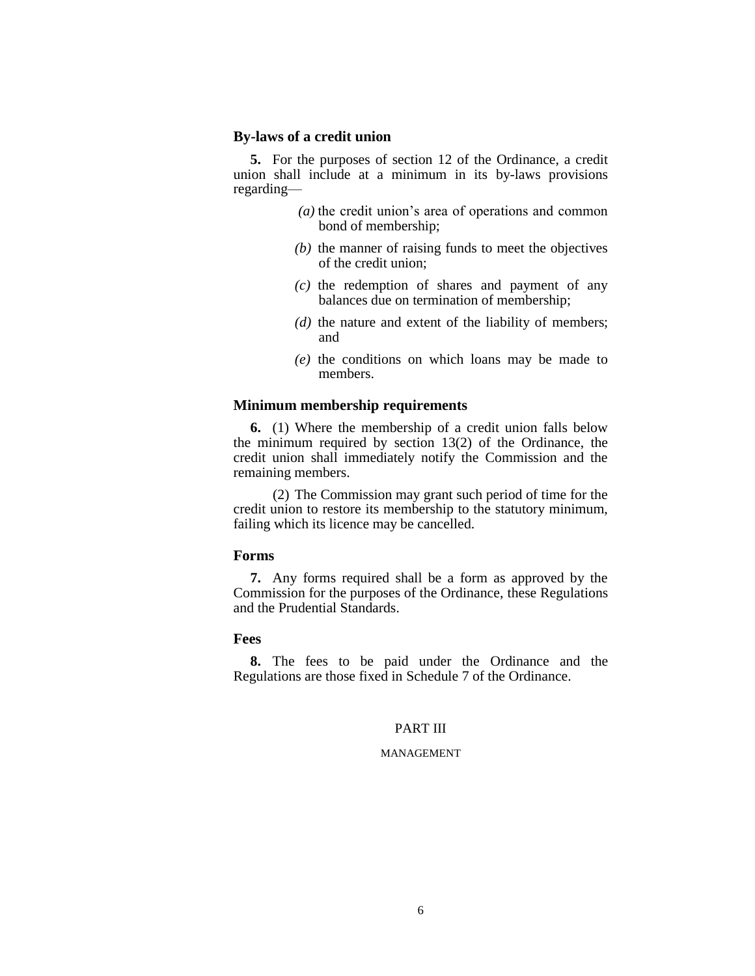## **By-laws of a credit union**

**5.** For the purposes of section 12 of the Ordinance, a credit union shall include at a minimum in its by-laws provisions regarding—

- *(a)* the credit union's area of operations and common bond of membership;
- *(b)* the manner of raising funds to meet the objectives of the credit union;
- *(c)* the redemption of shares and payment of any balances due on termination of membership;
- *(d)* the nature and extent of the liability of members; and
- *(e)* the conditions on which loans may be made to members.

## **Minimum membership requirements**

**6.** (1) Where the membership of a credit union falls below the minimum required by section 13(2) of the Ordinance, the credit union shall immediately notify the Commission and the remaining members.

(2) The Commission may grant such period of time for the credit union to restore its membership to the statutory minimum, failing which its licence may be cancelled.

#### **Forms**

**7.** Any forms required shall be a form as approved by the Commission for the purposes of the Ordinance, these Regulations and the Prudential Standards.

## **Fees**

**8.** The fees to be paid under the Ordinance and the Regulations are those fixed in Schedule 7 of the Ordinance.

### PART III

## MANAGEMENT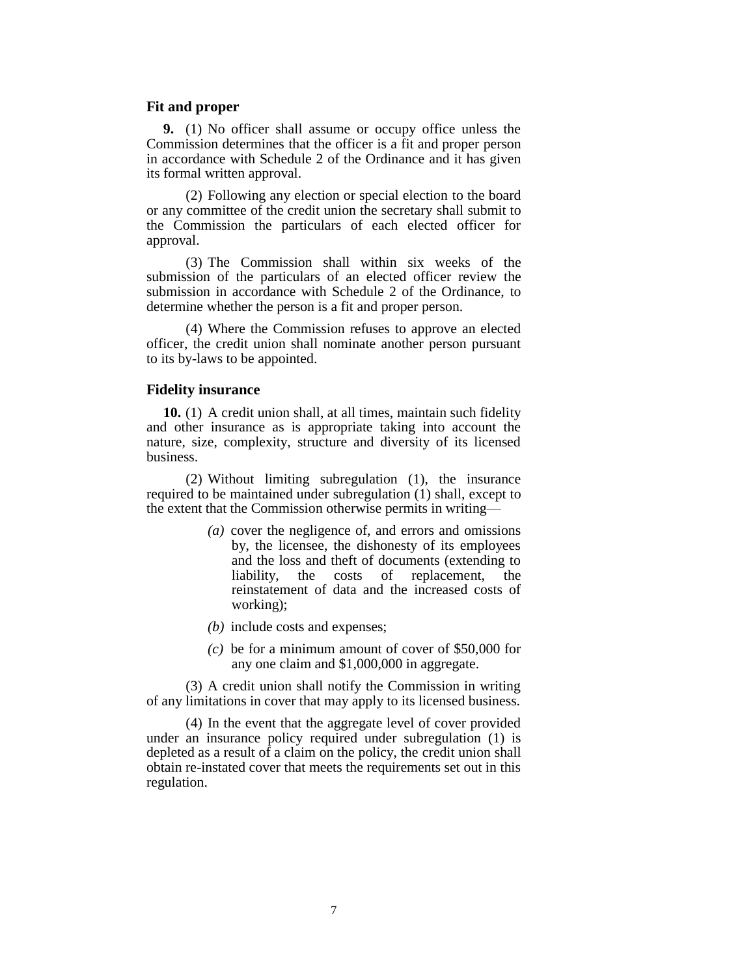### **Fit and proper**

**9.** (1) No officer shall assume or occupy office unless the Commission determines that the officer is a fit and proper person in accordance with Schedule 2 of the Ordinance and it has given its formal written approval.

(2) Following any election or special election to the board or any committee of the credit union the secretary shall submit to the Commission the particulars of each elected officer for approval.

(3) The Commission shall within six weeks of the submission of the particulars of an elected officer review the submission in accordance with Schedule 2 of the Ordinance, to determine whether the person is a fit and proper person.

(4) Where the Commission refuses to approve an elected officer, the credit union shall nominate another person pursuant to its by-laws to be appointed.

### **Fidelity insurance**

**10.** (1) A credit union shall, at all times, maintain such fidelity and other insurance as is appropriate taking into account the nature, size, complexity, structure and diversity of its licensed business.

(2) Without limiting subregulation (1), the insurance required to be maintained under subregulation (1) shall, except to the extent that the Commission otherwise permits in writing—

- *(a)* cover the negligence of, and errors and omissions by, the licensee, the dishonesty of its employees and the loss and theft of documents (extending to liability, the costs of replacement, the reinstatement of data and the increased costs of working);
- *(b)* include costs and expenses;
- *(c)* be for a minimum amount of cover of \$50,000 for any one claim and \$1,000,000 in aggregate.

(3) A credit union shall notify the Commission in writing of any limitations in cover that may apply to its licensed business.

(4) In the event that the aggregate level of cover provided under an insurance policy required under subregulation (1) is depleted as a result of a claim on the policy, the credit union shall obtain re-instated cover that meets the requirements set out in this regulation.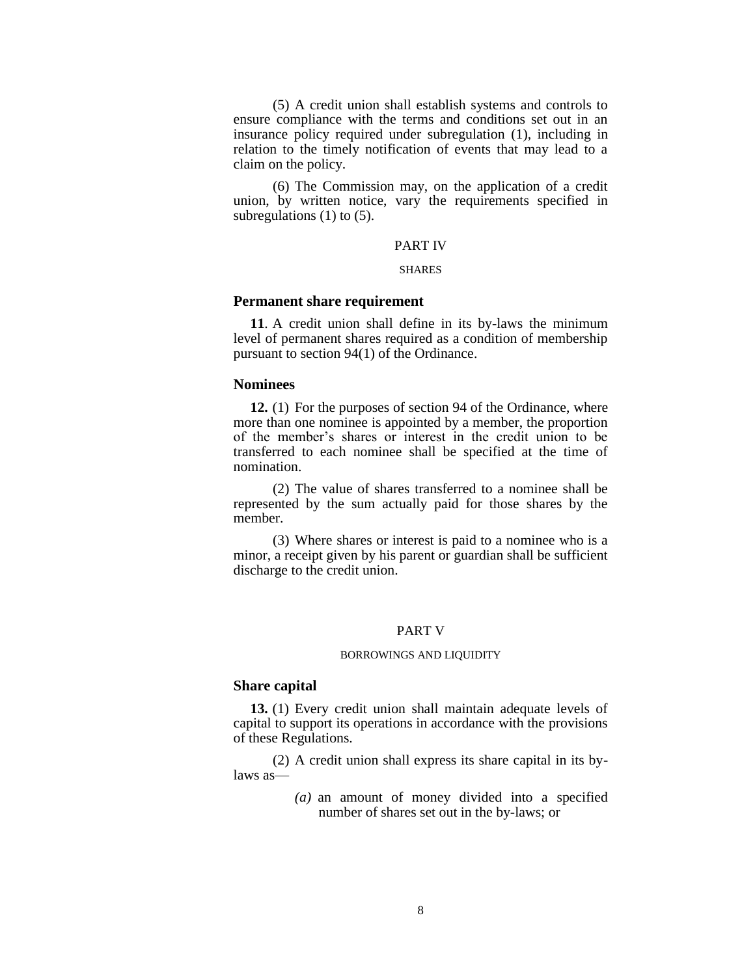(5) A credit union shall establish systems and controls to ensure compliance with the terms and conditions set out in an insurance policy required under subregulation (1), including in relation to the timely notification of events that may lead to a claim on the policy.

(6) The Commission may, on the application of a credit union, by written notice, vary the requirements specified in subregulations  $(1)$  to  $(5)$ .

#### PART IV

#### **SHARES**

### **Permanent share requirement**

**11**. A credit union shall define in its by-laws the minimum level of permanent shares required as a condition of membership pursuant to section 94(1) of the Ordinance.

### **Nominees**

**12.** (1) For the purposes of section 94 of the Ordinance, where more than one nominee is appointed by a member, the proportion of the member's shares or interest in the credit union to be transferred to each nominee shall be specified at the time of nomination.

(2) The value of shares transferred to a nominee shall be represented by the sum actually paid for those shares by the member.

(3) Where shares or interest is paid to a nominee who is a minor, a receipt given by his parent or guardian shall be sufficient discharge to the credit union.

## PART V

#### BORROWINGS AND LIQUIDITY

## **Share capital**

**13.** (1) Every credit union shall maintain adequate levels of capital to support its operations in accordance with the provisions of these Regulations.

(2) A credit union shall express its share capital in its bylaws as—

> *(a)* an amount of money divided into a specified number of shares set out in the by-laws; or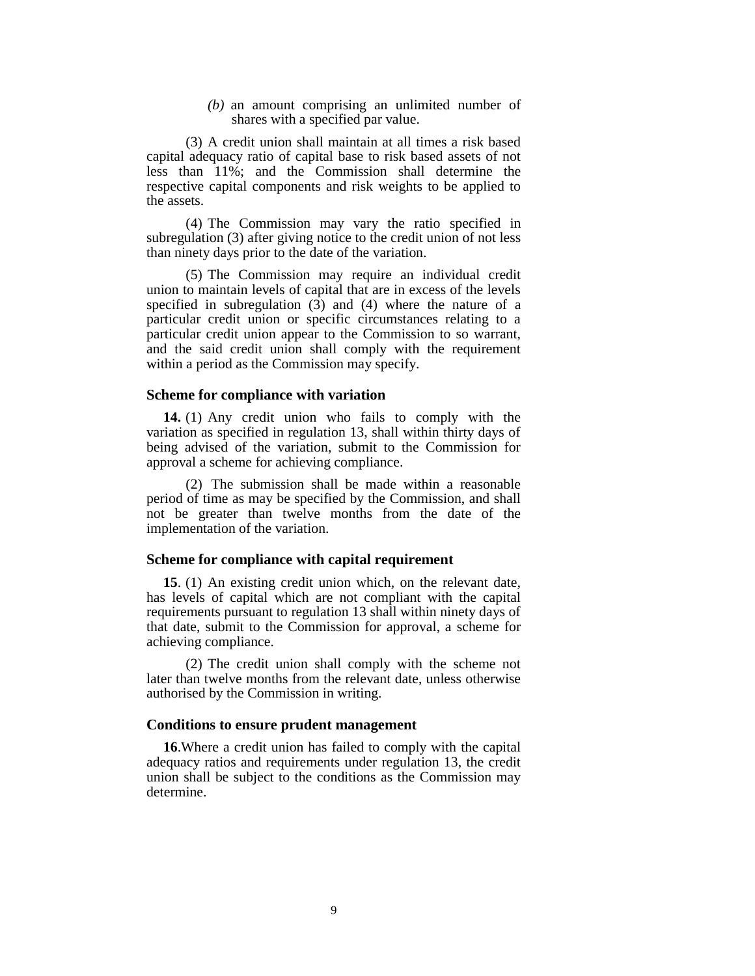*(b)* an amount comprising an unlimited number of shares with a specified par value.

(3) A credit union shall maintain at all times a risk based capital adequacy ratio of capital base to risk based assets of not less than 11%; and the Commission shall determine the respective capital components and risk weights to be applied to the assets.

(4) The Commission may vary the ratio specified in subregulation (3) after giving notice to the credit union of not less than ninety days prior to the date of the variation.

(5) The Commission may require an individual credit union to maintain levels of capital that are in excess of the levels specified in subregulation  $(\overline{3})$  and  $(4)$  where the nature of a particular credit union or specific circumstances relating to a particular credit union appear to the Commission to so warrant, and the said credit union shall comply with the requirement within a period as the Commission may specify.

## **Scheme for compliance with variation**

**14.** (1) Any credit union who fails to comply with the variation as specified in regulation 13, shall within thirty days of being advised of the variation, submit to the Commission for approval a scheme for achieving compliance.

(2) The submission shall be made within a reasonable period of time as may be specified by the Commission, and shall not be greater than twelve months from the date of the implementation of the variation.

### **Scheme for compliance with capital requirement**

**15**. (1) An existing credit union which, on the relevant date, has levels of capital which are not compliant with the capital requirements pursuant to regulation 13 shall within ninety days of that date, submit to the Commission for approval, a scheme for achieving compliance.

(2) The credit union shall comply with the scheme not later than twelve months from the relevant date, unless otherwise authorised by the Commission in writing.

### **Conditions to ensure prudent management**

**16**.Where a credit union has failed to comply with the capital adequacy ratios and requirements under regulation 13, the credit union shall be subject to the conditions as the Commission may determine.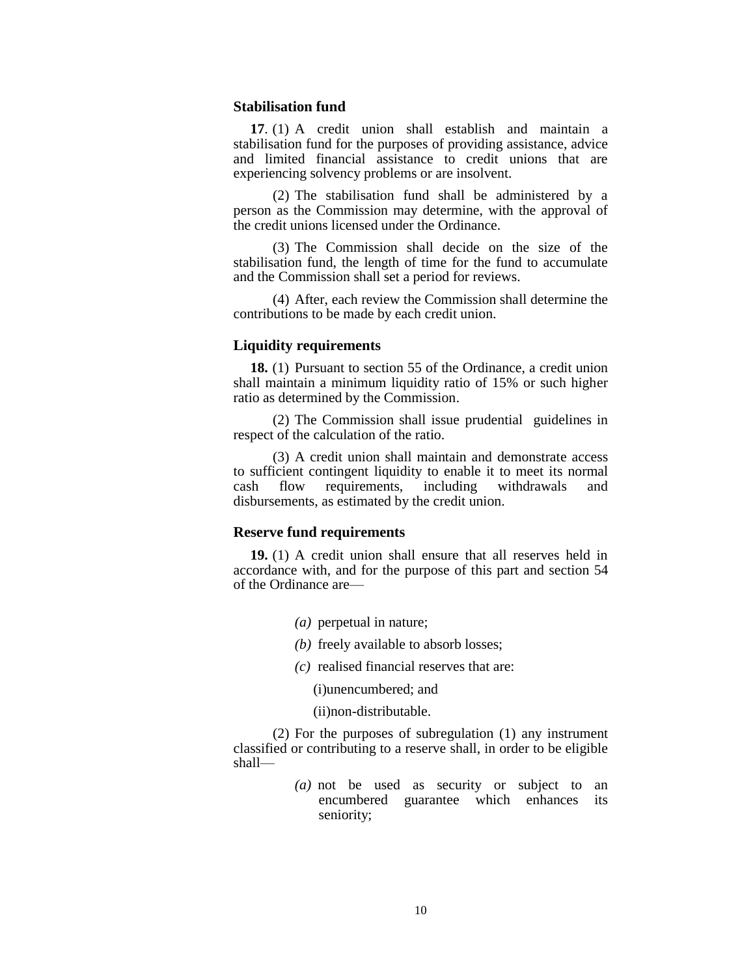#### **Stabilisation fund**

**17**. (1) A credit union shall establish and maintain a stabilisation fund for the purposes of providing assistance, advice and limited financial assistance to credit unions that are experiencing solvency problems or are insolvent.

(2) The stabilisation fund shall be administered by a person as the Commission may determine, with the approval of the credit unions licensed under the Ordinance.

(3) The Commission shall decide on the size of the stabilisation fund, the length of time for the fund to accumulate and the Commission shall set a period for reviews.

(4) After, each review the Commission shall determine the contributions to be made by each credit union.

## **Liquidity requirements**

**18.** (1) Pursuant to section 55 of the Ordinance, a credit union shall maintain a minimum liquidity ratio of 15% or such higher ratio as determined by the Commission.

(2) The Commission shall issue prudential guidelines in respect of the calculation of the ratio.

(3) A credit union shall maintain and demonstrate access to sufficient contingent liquidity to enable it to meet its normal cash flow requirements, including withdrawals and disbursements, as estimated by the credit union.

## **Reserve fund requirements**

**19.** (1) A credit union shall ensure that all reserves held in accordance with, and for the purpose of this part and section 54 of the Ordinance are—

- *(a)* perpetual in nature;
- *(b)* freely available to absorb losses;
- *(c)* realised financial reserves that are:
	- (i)unencumbered; and
	- (ii)non-distributable.

(2) For the purposes of subregulation (1) any instrument classified or contributing to a reserve shall, in order to be eligible shall—

> *(a)* not be used as security or subject to an encumbered guarantee which enhances its seniority;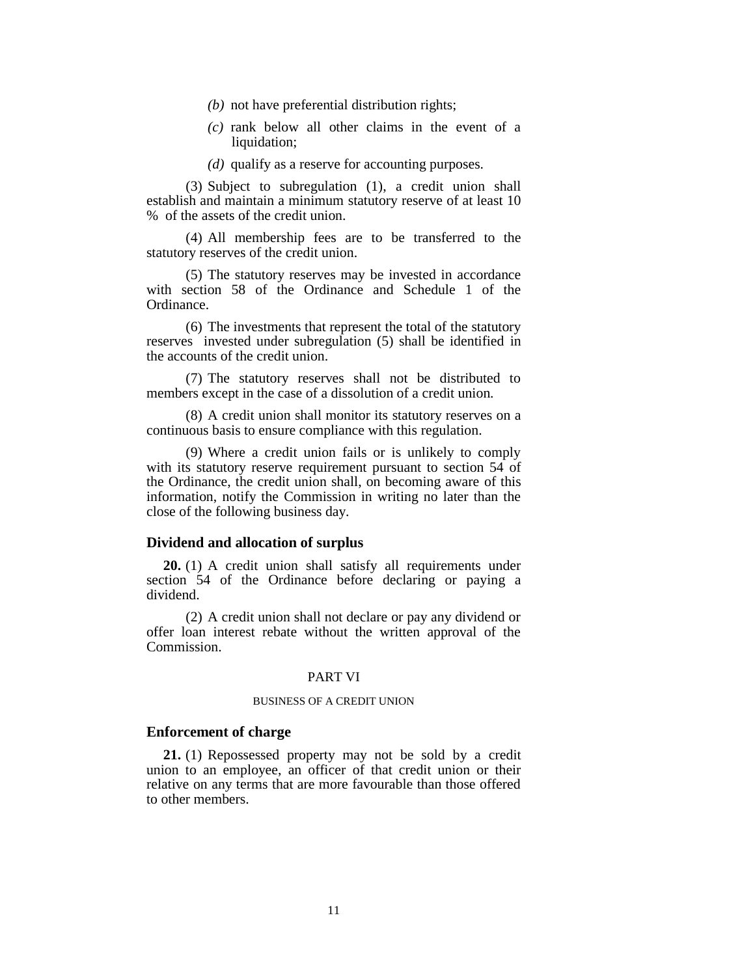- *(b)* not have preferential distribution rights;
- *(c)* rank below all other claims in the event of a liquidation;
- *(d)* qualify as a reserve for accounting purposes.

(3) Subject to subregulation (1), a credit union shall establish and maintain a minimum statutory reserve of at least 10 % of the assets of the credit union.

(4) All membership fees are to be transferred to the statutory reserves of the credit union.

(5) The statutory reserves may be invested in accordance with section 58 of the Ordinance and Schedule 1 of the Ordinance.

(6) The investments that represent the total of the statutory reserves invested under subregulation (5) shall be identified in the accounts of the credit union.

(7) The statutory reserves shall not be distributed to members except in the case of a dissolution of a credit union.

(8) A credit union shall monitor its statutory reserves on a continuous basis to ensure compliance with this regulation.

(9) Where a credit union fails or is unlikely to comply with its statutory reserve requirement pursuant to section 54 of the Ordinance, the credit union shall, on becoming aware of this information, notify the Commission in writing no later than the close of the following business day.

#### **Dividend and allocation of surplus**

**20.** (1) A credit union shall satisfy all requirements under section 54 of the Ordinance before declaring or paying a dividend.

(2) A credit union shall not declare or pay any dividend or offer loan interest rebate without the written approval of the Commission.

#### PART VI

## BUSINESS OF A CREDIT UNION

### **Enforcement of charge**

**21.** (1) Repossessed property may not be sold by a credit union to an employee, an officer of that credit union or their relative on any terms that are more favourable than those offered to other members.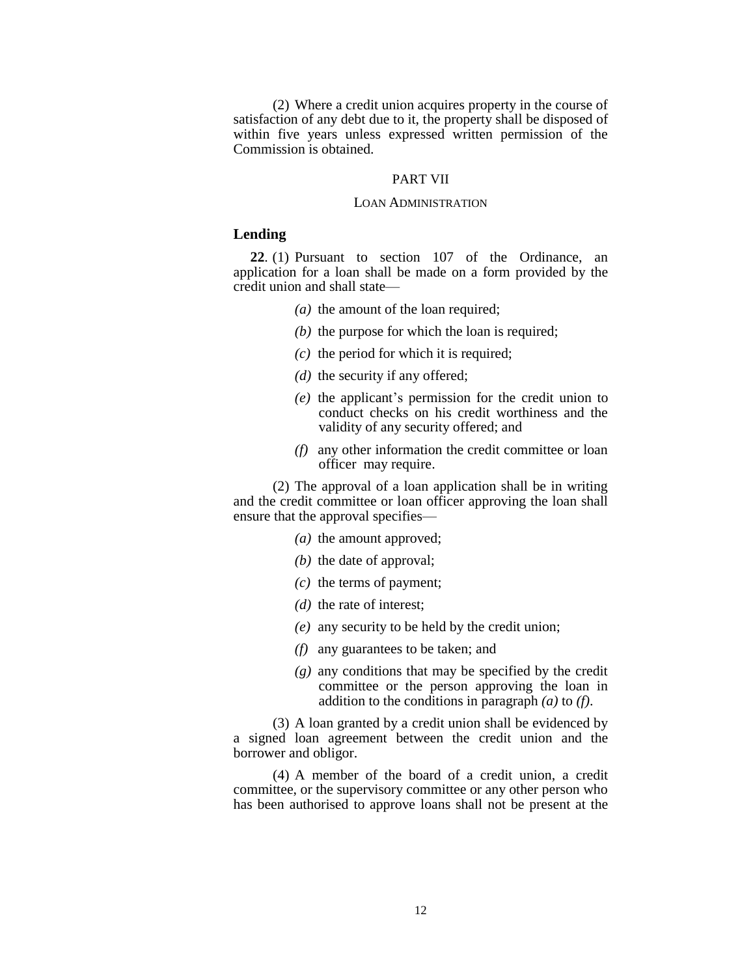(2) Where a credit union acquires property in the course of satisfaction of any debt due to it, the property shall be disposed of within five years unless expressed written permission of the Commission is obtained.

#### PART VII

#### LOAN ADMINISTRATION

#### **Lending**

**22**. (1) Pursuant to section 107 of the Ordinance, an application for a loan shall be made on a form provided by the credit union and shall state—

- *(a)* the amount of the loan required;
- *(b)* the purpose for which the loan is required;
- *(c)* the period for which it is required;
- *(d)* the security if any offered;
- *(e)* the applicant's permission for the credit union to conduct checks on his credit worthiness and the validity of any security offered; and
- *(f)* any other information the credit committee or loan officer may require.

(2) The approval of a loan application shall be in writing and the credit committee or loan officer approving the loan shall ensure that the approval specifies—

- *(a)* the amount approved;
- *(b)* the date of approval;
- *(c)* the terms of payment;
- *(d)* the rate of interest;
- *(e)* any security to be held by the credit union;
- *(f)* any guarantees to be taken; and
- *(g)* any conditions that may be specified by the credit committee or the person approving the loan in addition to the conditions in paragraph *(a)* to *(f)*.

(3) A loan granted by a credit union shall be evidenced by a signed loan agreement between the credit union and the borrower and obligor.

(4) A member of the board of a credit union, a credit committee, or the supervisory committee or any other person who has been authorised to approve loans shall not be present at the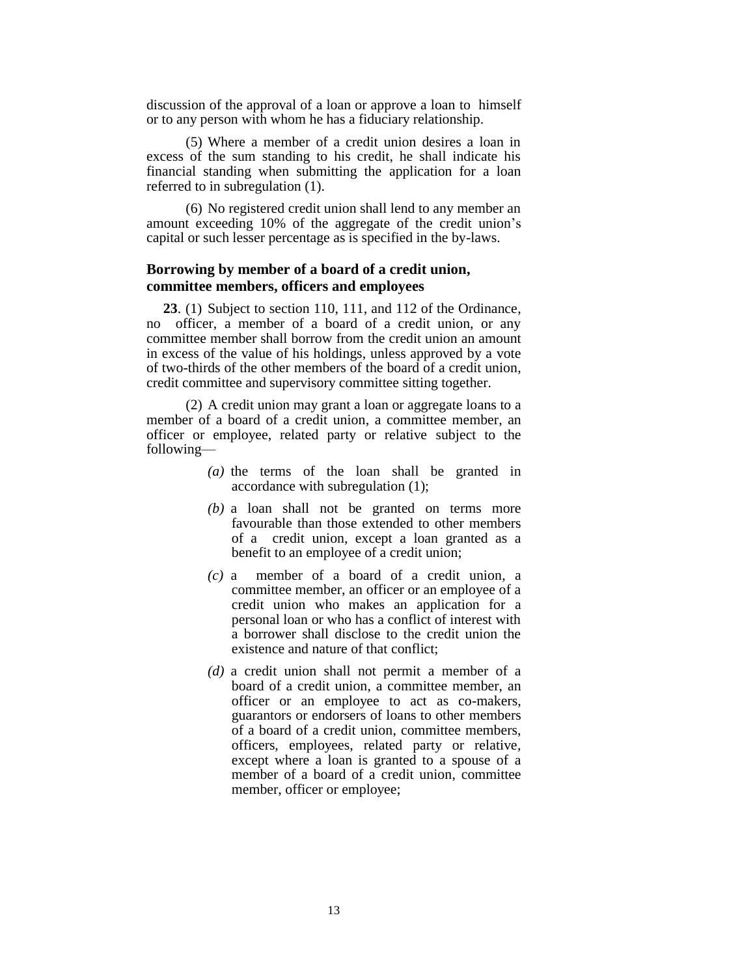discussion of the approval of a loan or approve a loan to himself or to any person with whom he has a fiduciary relationship.

(5) Where a member of a credit union desires a loan in excess of the sum standing to his credit, he shall indicate his financial standing when submitting the application for a loan referred to in subregulation (1).

(6) No registered credit union shall lend to any member an amount exceeding 10% of the aggregate of the credit union's capital or such lesser percentage as is specified in the by-laws.

# **Borrowing by member of a board of a credit union, committee members, officers and employees**

**23**. (1) Subject to section 110, 111, and 112 of the Ordinance, no officer, a member of a board of a credit union, or any committee member shall borrow from the credit union an amount in excess of the value of his holdings, unless approved by a vote of two-thirds of the other members of the board of a credit union, credit committee and supervisory committee sitting together.

(2) A credit union may grant a loan or aggregate loans to a member of a board of a credit union, a committee member, an officer or employee, related party or relative subject to the following—

- *(a)* the terms of the loan shall be granted in accordance with subregulation (1);
- *(b)* a loan shall not be granted on terms more favourable than those extended to other members of a credit union, except a loan granted as a benefit to an employee of a credit union;
- *(c)* a member of a board of a credit union, a committee member, an officer or an employee of a credit union who makes an application for a personal loan or who has a conflict of interest with a borrower shall disclose to the credit union the existence and nature of that conflict;
- *(d)* a credit union shall not permit a member of a board of a credit union, a committee member, an officer or an employee to act as co-makers, guarantors or endorsers of loans to other members of a board of a credit union, committee members, officers, employees, related party or relative, except where a loan is granted to a spouse of a member of a board of a credit union, committee member, officer or employee;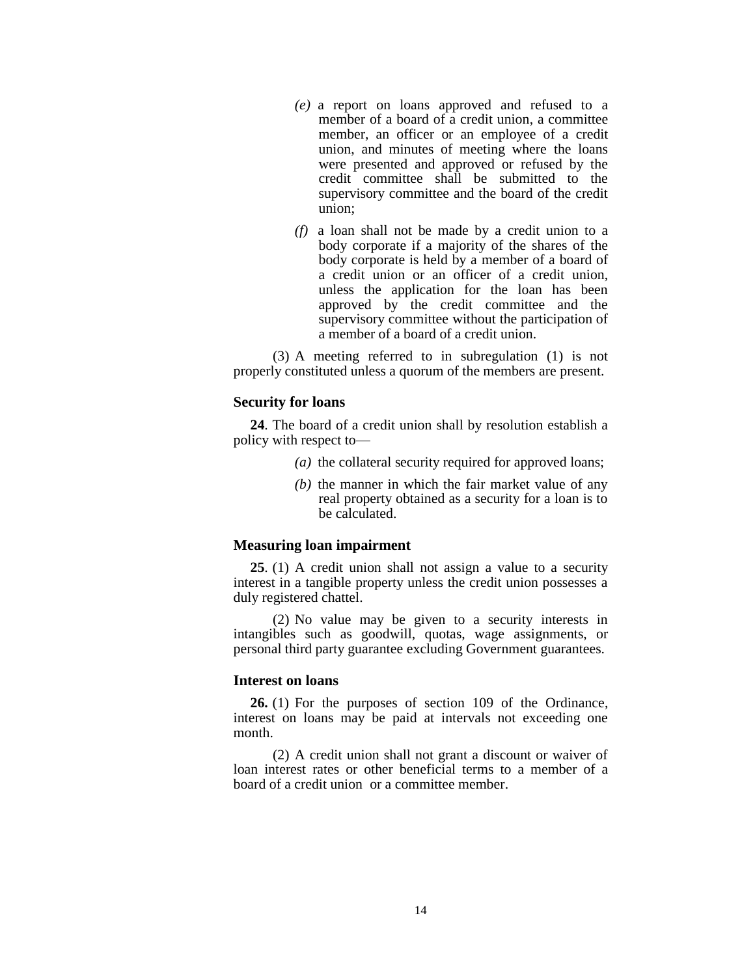- *(e)* a report on loans approved and refused to a member of a board of a credit union, a committee member, an officer or an employee of a credit union, and minutes of meeting where the loans were presented and approved or refused by the credit committee shall be submitted to the supervisory committee and the board of the credit union;
- *(f)* a loan shall not be made by a credit union to a body corporate if a majority of the shares of the body corporate is held by a member of a board of a credit union or an officer of a credit union, unless the application for the loan has been approved by the credit committee and the supervisory committee without the participation of a member of a board of a credit union.

(3) A meeting referred to in subregulation (1) is not properly constituted unless a quorum of the members are present.

## **Security for loans**

**24**. The board of a credit union shall by resolution establish a policy with respect to—

- *(a)* the collateral security required for approved loans;
- *(b)* the manner in which the fair market value of any real property obtained as a security for a loan is to be calculated.

### **Measuring loan impairment**

**25**. (1) A credit union shall not assign a value to a security interest in a tangible property unless the credit union possesses a duly registered chattel.

(2) No value may be given to a security interests in intangibles such as goodwill, quotas, wage assignments, or personal third party guarantee excluding Government guarantees.

### **Interest on loans**

**26.** (1) For the purposes of section 109 of the Ordinance, interest on loans may be paid at intervals not exceeding one month.

(2) A credit union shall not grant a discount or waiver of loan interest rates or other beneficial terms to a member of a board of a credit union or a committee member.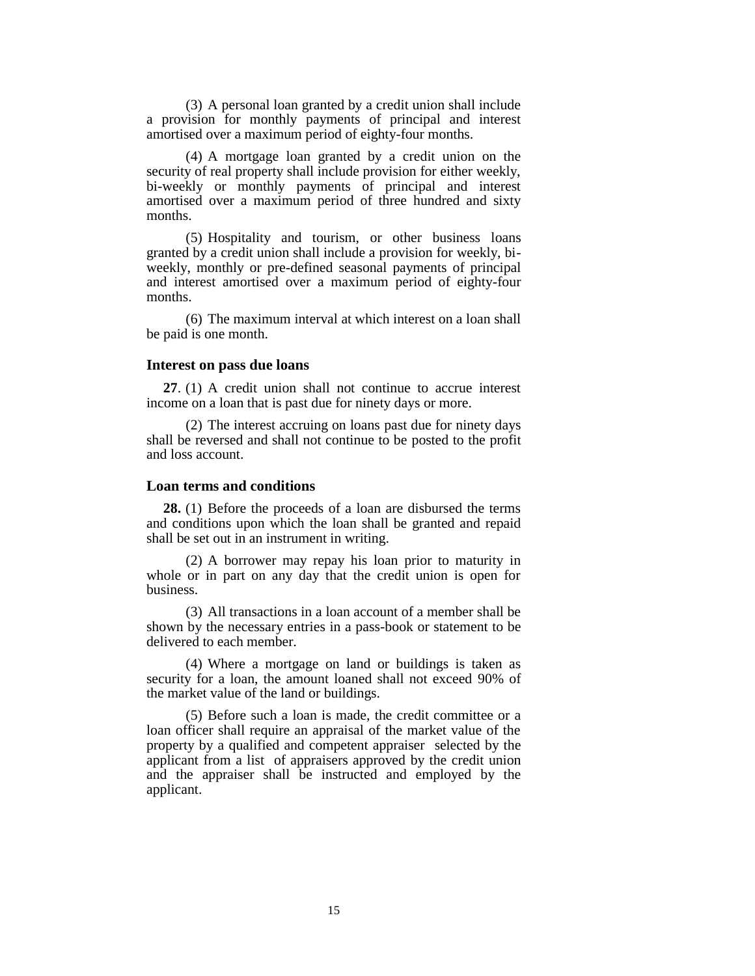(3) A personal loan granted by a credit union shall include a provision for monthly payments of principal and interest amortised over a maximum period of eighty-four months.

(4) A mortgage loan granted by a credit union on the security of real property shall include provision for either weekly, bi-weekly or monthly payments of principal and interest amortised over a maximum period of three hundred and sixty months.

(5) Hospitality and tourism, or other business loans granted by a credit union shall include a provision for weekly, biweekly, monthly or pre-defined seasonal payments of principal and interest amortised over a maximum period of eighty-four months.

(6) The maximum interval at which interest on a loan shall be paid is one month.

## **Interest on pass due loans**

**27**. (1) A credit union shall not continue to accrue interest income on a loan that is past due for ninety days or more.

(2) The interest accruing on loans past due for ninety days shall be reversed and shall not continue to be posted to the profit and loss account.

#### **Loan terms and conditions**

**28.** (1) Before the proceeds of a loan are disbursed the terms and conditions upon which the loan shall be granted and repaid shall be set out in an instrument in writing.

(2) A borrower may repay his loan prior to maturity in whole or in part on any day that the credit union is open for business.

(3) All transactions in a loan account of a member shall be shown by the necessary entries in a pass-book or statement to be delivered to each member.

(4) Where a mortgage on land or buildings is taken as security for a loan, the amount loaned shall not exceed 90% of the market value of the land or buildings.

(5) Before such a loan is made, the credit committee or a loan officer shall require an appraisal of the market value of the property by a qualified and competent appraiser selected by the applicant from a list of appraisers approved by the credit union and the appraiser shall be instructed and employed by the applicant.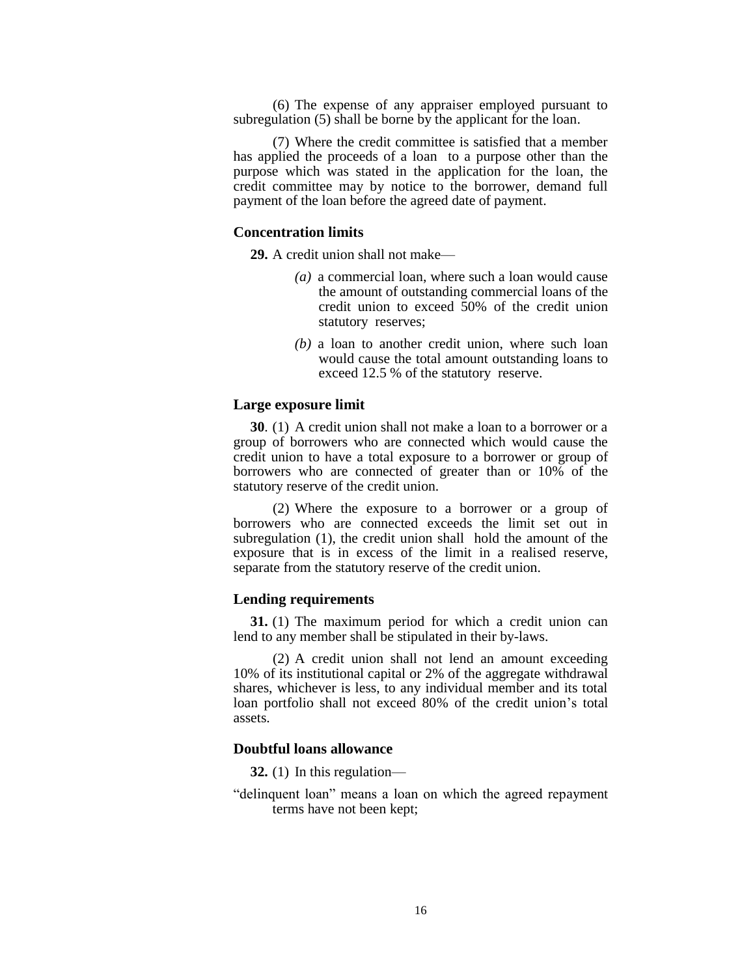(6) The expense of any appraiser employed pursuant to subregulation (5) shall be borne by the applicant for the loan.

(7) Where the credit committee is satisfied that a member has applied the proceeds of a loan to a purpose other than the purpose which was stated in the application for the loan, the credit committee may by notice to the borrower, demand full payment of the loan before the agreed date of payment.

## **Concentration limits**

**29.** A credit union shall not make—

- *(a)* a commercial loan, where such a loan would cause the amount of outstanding commercial loans of the credit union to exceed 50% of the credit union statutory reserves;
- *(b)* a loan to another credit union, where such loan would cause the total amount outstanding loans to exceed 12.5 % of the statutory reserve.

### **Large exposure limit**

**30**. (1) A credit union shall not make a loan to a borrower or a group of borrowers who are connected which would cause the credit union to have a total exposure to a borrower or group of borrowers who are connected of greater than or 10% of the statutory reserve of the credit union.

(2) Where the exposure to a borrower or a group of borrowers who are connected exceeds the limit set out in subregulation (1), the credit union shall hold the amount of the exposure that is in excess of the limit in a realised reserve, separate from the statutory reserve of the credit union.

#### **Lending requirements**

**31.** (1) The maximum period for which a credit union can lend to any member shall be stipulated in their by-laws.

(2) A credit union shall not lend an amount exceeding 10% of its institutional capital or 2% of the aggregate withdrawal shares, whichever is less, to any individual member and its total loan portfolio shall not exceed 80% of the credit union's total assets.

## **Doubtful loans allowance**

**32.** (1) In this regulation—

"delinquent loan" means a loan on which the agreed repayment terms have not been kept;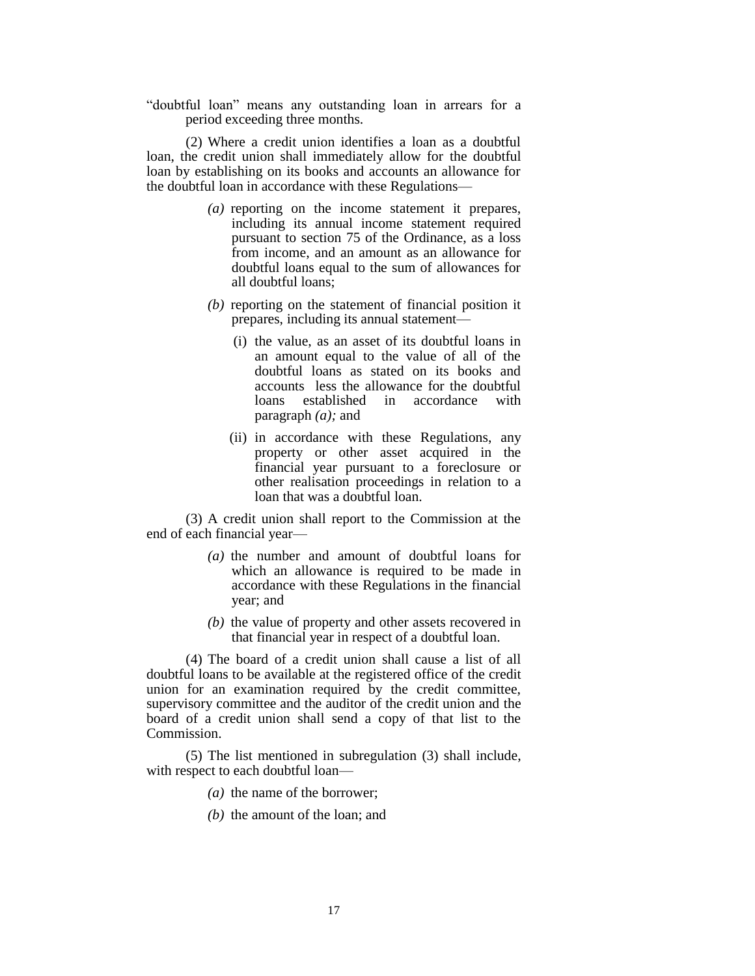"doubtful loan" means any outstanding loan in arrears for a period exceeding three months.

(2) Where a credit union identifies a loan as a doubtful loan, the credit union shall immediately allow for the doubtful loan by establishing on its books and accounts an allowance for the doubtful loan in accordance with these Regulations—

- *(a)* reporting on the income statement it prepares, including its annual income statement required pursuant to section 75 of the Ordinance, as a loss from income, and an amount as an allowance for doubtful loans equal to the sum of allowances for all doubtful loans;
- *(b)* reporting on the statement of financial position it prepares, including its annual statement—
	- (i) the value, as an asset of its doubtful loans in an amount equal to the value of all of the doubtful loans as stated on its books and accounts less the allowance for the doubtful loans established in accordance with paragraph *(a);* and
	- (ii) in accordance with these Regulations, any property or other asset acquired in the financial year pursuant to a foreclosure or other realisation proceedings in relation to a loan that was a doubtful loan.

(3) A credit union shall report to the Commission at the end of each financial year—

- *(a)* the number and amount of doubtful loans for which an allowance is required to be made in accordance with these Regulations in the financial year; and
- *(b)* the value of property and other assets recovered in that financial year in respect of a doubtful loan.

(4) The board of a credit union shall cause a list of all doubtful loans to be available at the registered office of the credit union for an examination required by the credit committee, supervisory committee and the auditor of the credit union and the board of a credit union shall send a copy of that list to the Commission.

(5) The list mentioned in subregulation (3) shall include, with respect to each doubtful loan—

- *(a)* the name of the borrower;
- *(b)* the amount of the loan; and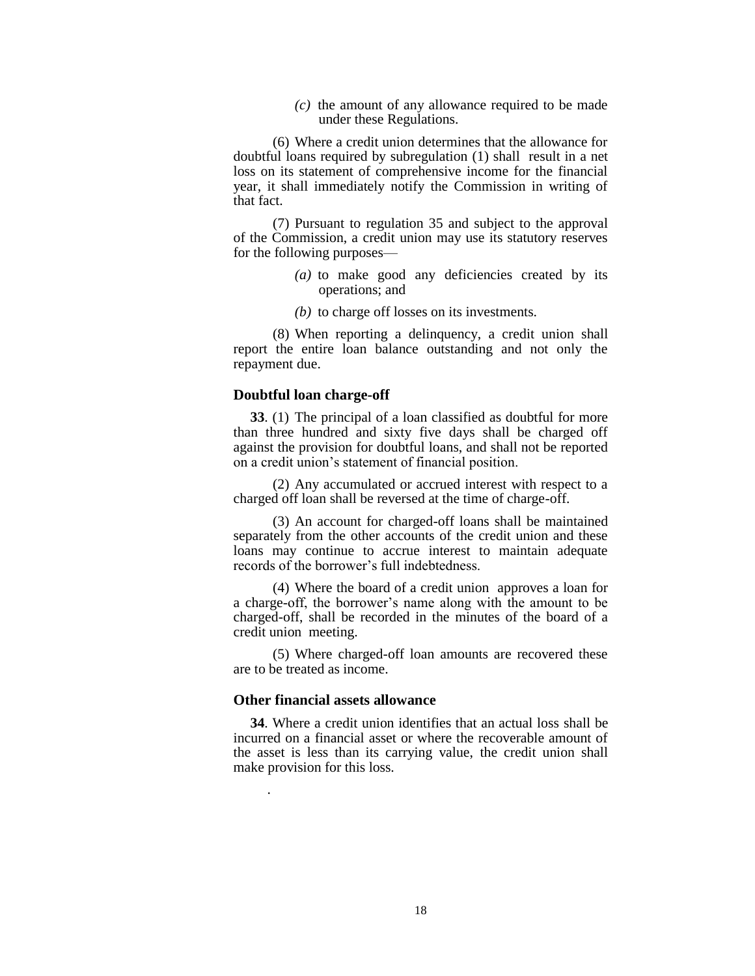*(c)* the amount of any allowance required to be made under these Regulations.

(6) Where a credit union determines that the allowance for doubtful loans required by subregulation (1) shall result in a net loss on its statement of comprehensive income for the financial year, it shall immediately notify the Commission in writing of that fact.

(7) Pursuant to regulation 35 and subject to the approval of the Commission, a credit union may use its statutory reserves for the following purposes—

- *(a)* to make good any deficiencies created by its operations; and
- *(b)* to charge off losses on its investments.

(8) When reporting a delinquency, a credit union shall report the entire loan balance outstanding and not only the repayment due.

#### **Doubtful loan charge-off**

**33**. (1) The principal of a loan classified as doubtful for more than three hundred and sixty five days shall be charged off against the provision for doubtful loans, and shall not be reported on a credit union's statement of financial position.

(2) Any accumulated or accrued interest with respect to a charged off loan shall be reversed at the time of charge-off.

(3) An account for charged-off loans shall be maintained separately from the other accounts of the credit union and these loans may continue to accrue interest to maintain adequate records of the borrower's full indebtedness.

(4) Where the board of a credit union approves a loan for a charge-off, the borrower's name along with the amount to be charged-off, shall be recorded in the minutes of the board of a credit union meeting.

(5) Where charged-off loan amounts are recovered these are to be treated as income.

## **Other financial assets allowance**

.

**34**. Where a credit union identifies that an actual loss shall be incurred on a financial asset or where the recoverable amount of the asset is less than its carrying value, the credit union shall make provision for this loss.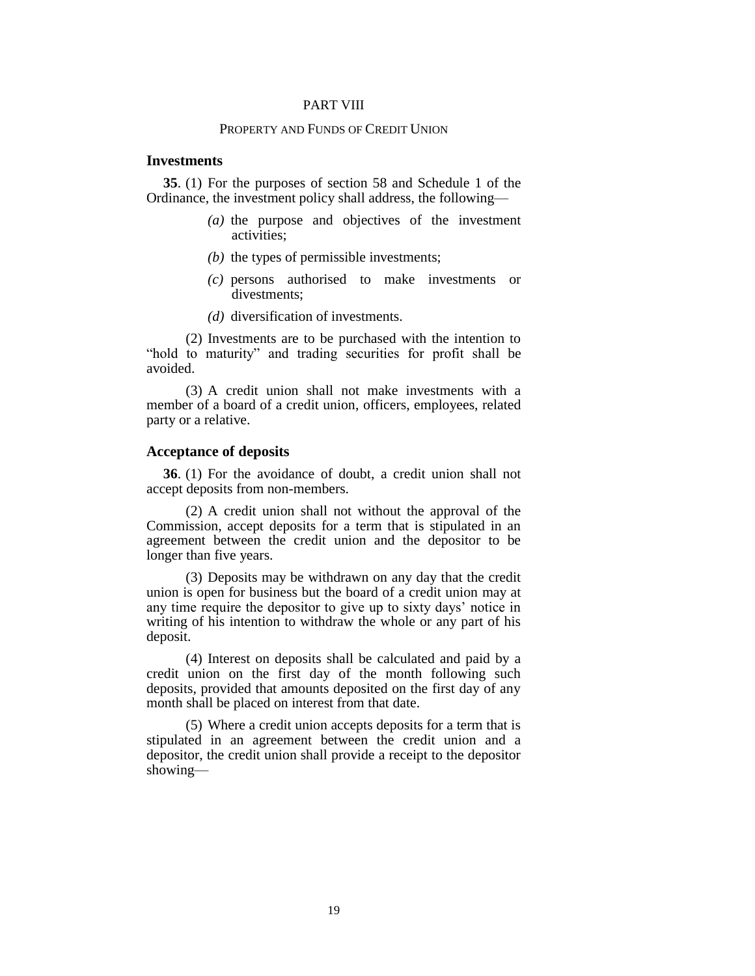#### PART VIII

## PROPERTY AND FUNDS OF CREDIT UNION

#### **Investments**

**35**. (1) For the purposes of section 58 and Schedule 1 of the Ordinance, the investment policy shall address, the following—

- *(a)* the purpose and objectives of the investment activities;
- *(b)* the types of permissible investments;
- *(c)* persons authorised to make investments or divestments;
- *(d)* diversification of investments.

(2) Investments are to be purchased with the intention to "hold to maturity" and trading securities for profit shall be avoided.

(3) A credit union shall not make investments with a member of a board of a credit union, officers, employees, related party or a relative.

#### **Acceptance of deposits**

**36**. (1) For the avoidance of doubt, a credit union shall not accept deposits from non-members.

(2) A credit union shall not without the approval of the Commission, accept deposits for a term that is stipulated in an agreement between the credit union and the depositor to be longer than five years.

(3) Deposits may be withdrawn on any day that the credit union is open for business but the board of a credit union may at any time require the depositor to give up to sixty days' notice in writing of his intention to withdraw the whole or any part of his deposit.

(4) Interest on deposits shall be calculated and paid by a credit union on the first day of the month following such deposits, provided that amounts deposited on the first day of any month shall be placed on interest from that date.

(5) Where a credit union accepts deposits for a term that is stipulated in an agreement between the credit union and a depositor, the credit union shall provide a receipt to the depositor showing—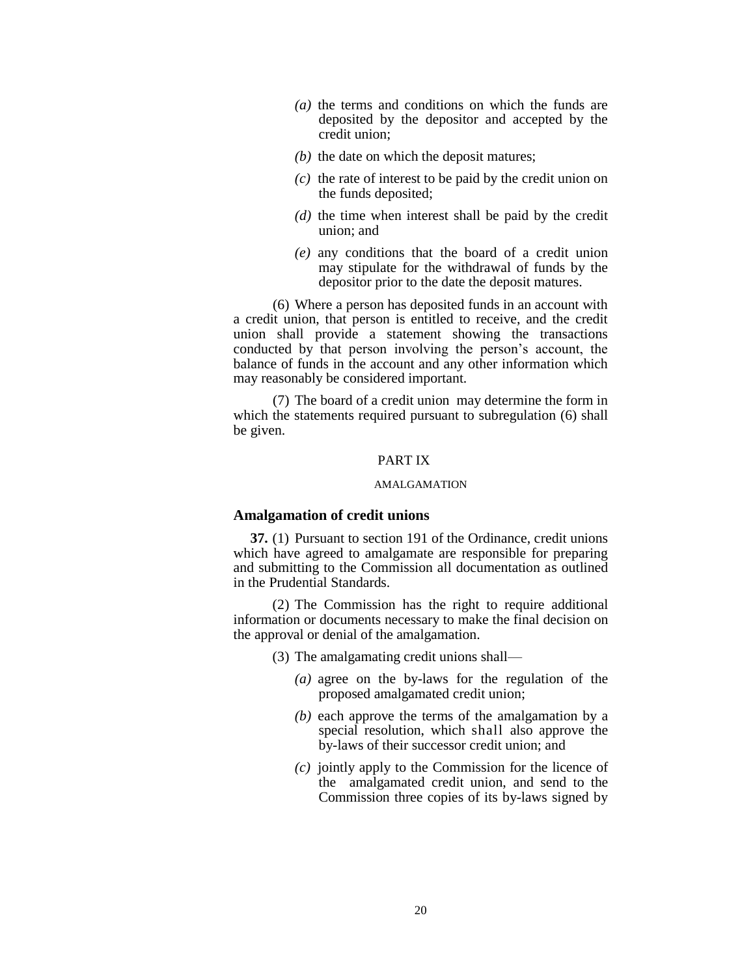- *(a)* the terms and conditions on which the funds are deposited by the depositor and accepted by the credit union;
- *(b)* the date on which the deposit matures;
- *(c)* the rate of interest to be paid by the credit union on the funds deposited;
- *(d)* the time when interest shall be paid by the credit union; and
- *(e)* any conditions that the board of a credit union may stipulate for the withdrawal of funds by the depositor prior to the date the deposit matures.

(6) Where a person has deposited funds in an account with a credit union, that person is entitled to receive, and the credit union shall provide a statement showing the transactions conducted by that person involving the person's account, the balance of funds in the account and any other information which may reasonably be considered important.

(7) The board of a credit union may determine the form in which the statements required pursuant to subregulation (6) shall be given.

## PART IX

#### AMALGAMATION

## **Amalgamation of credit unions**

**37.** (1) Pursuant to section 191 of the Ordinance, credit unions which have agreed to amalgamate are responsible for preparing and submitting to the Commission all documentation as outlined in the Prudential Standards.

(2) The Commission has the right to require additional information or documents necessary to make the final decision on the approval or denial of the amalgamation.

(3) The amalgamating credit unions shall—

- *(a)* agree on the by-laws for the regulation of the proposed amalgamated credit union;
- *(b)* each approve the terms of the amalgamation by a special resolution, which shall also approve the by-laws of their successor credit union; and
- *(c)* jointly apply to the Commission for the licence of the amalgamated credit union, and send to the Commission three copies of its by-laws signed by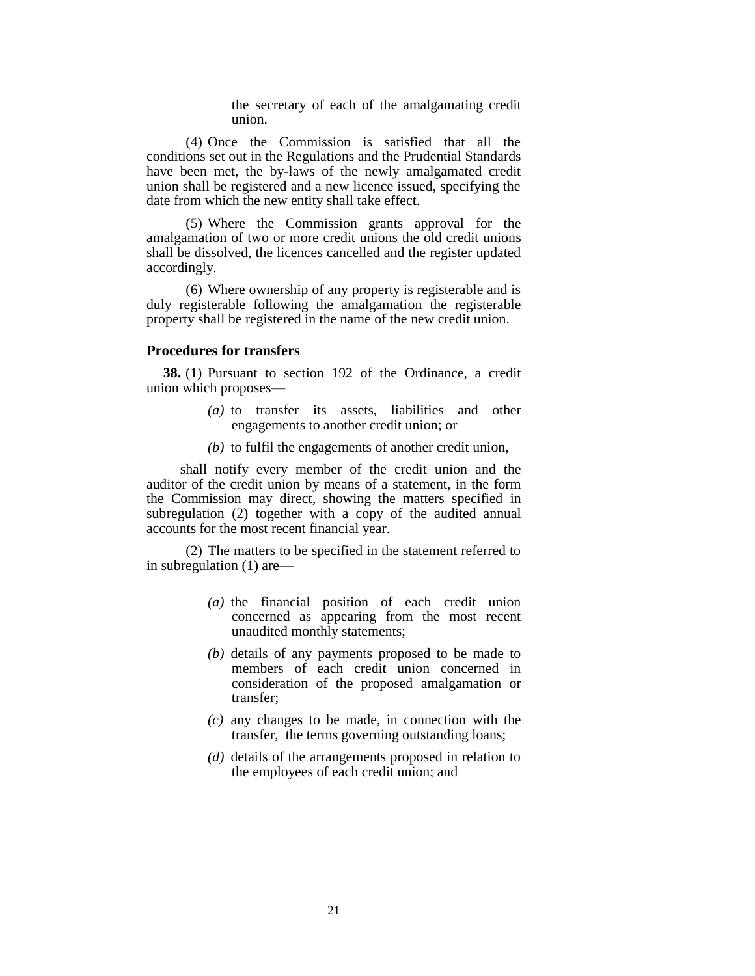the secretary of each of the amalgamating credit union.

(4) Once the Commission is satisfied that all the conditions set out in the Regulations and the Prudential Standards have been met, the by-laws of the newly amalgamated credit union shall be registered and a new licence issued, specifying the date from which the new entity shall take effect.

(5) Where the Commission grants approval for the amalgamation of two or more credit unions the old credit unions shall be dissolved, the licences cancelled and the register updated accordingly.

(6) Where ownership of any property is registerable and is duly registerable following the amalgamation the registerable property shall be registered in the name of the new credit union.

#### **Procedures for transfers**

**38.** (1) Pursuant to section 192 of the Ordinance, a credit union which proposes—

- *(a)* to transfer its assets, liabilities and other engagements to another credit union; or
- *(b)* to fulfil the engagements of another credit union,

shall notify every member of the credit union and the auditor of the credit union by means of a statement, in the form the Commission may direct, showing the matters specified in subregulation (2) together with a copy of the audited annual accounts for the most recent financial year.

(2) The matters to be specified in the statement referred to in subregulation (1) are—

- *(a)* the financial position of each credit union concerned as appearing from the most recent unaudited monthly statements;
- *(b)* details of any payments proposed to be made to members of each credit union concerned in consideration of the proposed amalgamation or transfer;
- *(c)* any changes to be made, in connection with the transfer, the terms governing outstanding loans;
- *(d)* details of the arrangements proposed in relation to the employees of each credit union; and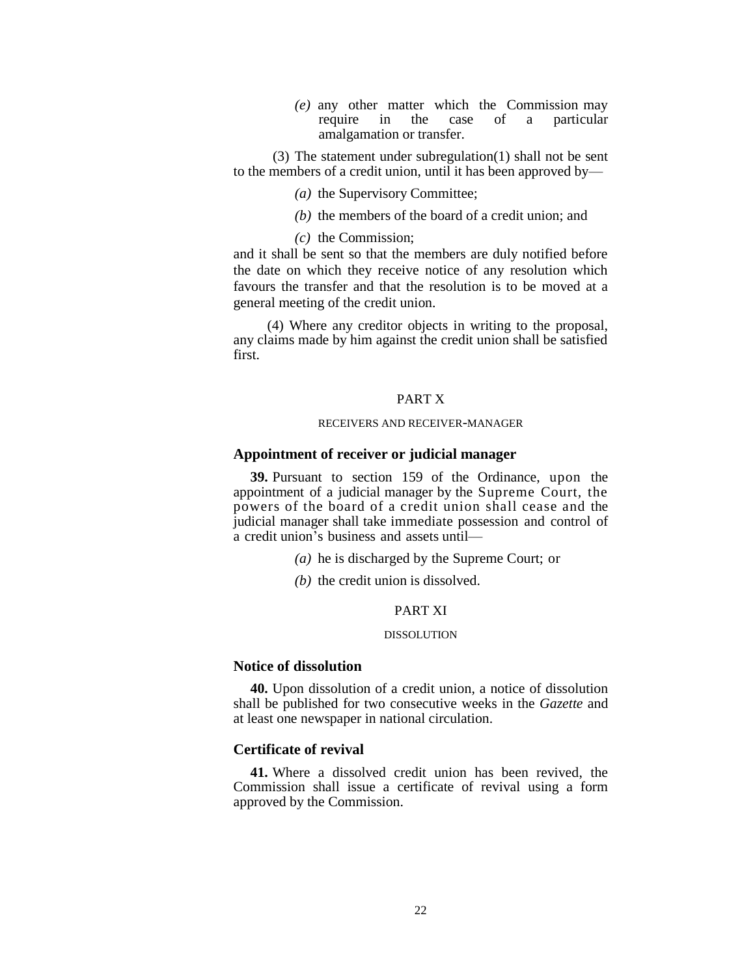*(e)* any other matter which the Commission may require in the case of a particular amalgamation or transfer.

(3) The statement under subregulation(1) shall not be sent to the members of a credit union, until it has been approved by—

- *(a)* the Supervisory Committee;
- *(b)* the members of the board of a credit union; and

*(c)* the Commission;

and it shall be sent so that the members are duly notified before the date on which they receive notice of any resolution which favours the transfer and that the resolution is to be moved at a general meeting of the credit union.

(4) Where any creditor objects in writing to the proposal, any claims made by him against the credit union shall be satisfied first.

## PART X

#### RECEIVERS AND RECEIVER-MANAGER

### **Appointment of receiver or judicial manager**

**39.** Pursuant to section 159 of the Ordinance, upon the appointment of a judicial manager by the Supreme Court, the powers of the board of a credit union shall cease and the judicial manager shall take immediate possession and control of a credit union's business and assets until—

- *(a)* he is discharged by the Supreme Court; or
- *(b)* the credit union is dissolved.

## PART XI

#### DISSOLUTION

#### **Notice of dissolution**

**40.** Upon dissolution of a credit union, a notice of dissolution shall be published for two consecutive weeks in the *Gazette* and at least one newspaper in national circulation.

## **Certificate of revival**

**41.** Where a dissolved credit union has been revived, the Commission shall issue a certificate of revival using a form approved by the Commission.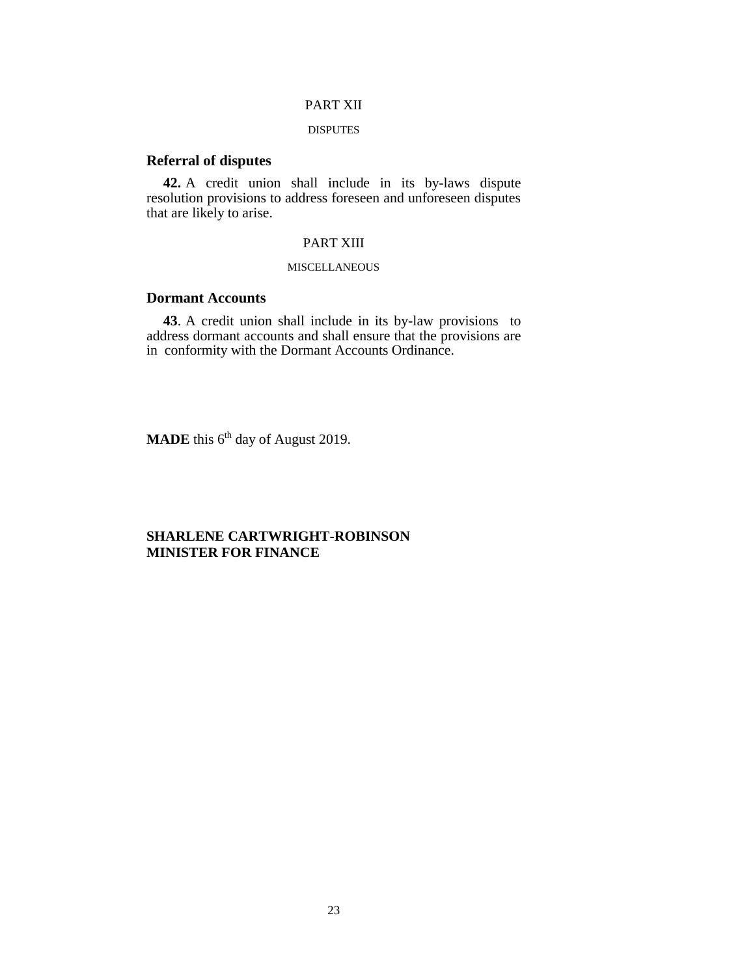## PART XII

#### DISPUTES

## **Referral of disputes**

**42.** A credit union shall include in its by-laws dispute resolution provisions to address foreseen and unforeseen disputes that are likely to arise.

## PART XIII

#### **MISCELLANEOUS**

# **Dormant Accounts**

**43**. A credit union shall include in its by-law provisions to address dormant accounts and shall ensure that the provisions are in conformity with the Dormant Accounts Ordinance.

**MADE** this 6<sup>th</sup> day of August 2019.

# **SHARLENE CARTWRIGHT-ROBINSON MINISTER FOR FINANCE**